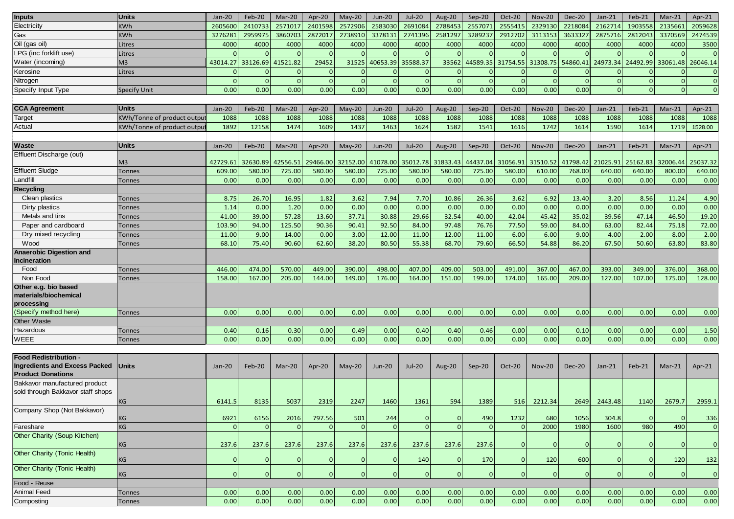| <b>Inputs</b>                        | <b>Units</b>               | $Jan-20$       | Feb-20   | Mar-20   | Apr-20         | $May-20$     | Jun-20          | <b>Jul-20</b> | Aug-20         | $Sep-20$       | <b>Oct-20</b>  | <b>Nov-20</b>     | <b>Dec-20</b> | Jan-21         | Feb-21        | $Mar-21$       | Apr-21       |
|--------------------------------------|----------------------------|----------------|----------|----------|----------------|--------------|-----------------|---------------|----------------|----------------|----------------|-------------------|---------------|----------------|---------------|----------------|--------------|
| Electricity                          | <b>KWh</b>                 | 2605600        | 2410733  | 257101   | 2401598        | 2572906      | 2583030         | 2691084       | 2788453        | 2557071        | 2555415        | 2329130           | 2218084       | 2162714        | 1903558       | 2135661        | 2059628      |
| Gas                                  | <b>KWh</b>                 | 3276281        | 2959975  | 3860703  | 2872017        | 2738910      | 3378131         | 2741396       | 2581297        | 3289237        | 2912702        | 3113153           | 3633327       | 2875716        | 2812043       | 3370569        | 2474539      |
| Oil (gas oil)                        | Litres                     | 4000           | 4000     | 4000     | 4000           | 4000         | 4000            | 4000          | 4000           | 4000           | 4000           | 4000              | 4000          | 4000           | 4000          | 4000           | 3500         |
| LPG (inc forklift use)               | Litres                     |                |          |          |                | $\Omega$     | n               |               |                |                |                |                   |               |                |               |                | $\mathbf 0$  |
| Water (incoming)                     | M <sub>3</sub>             | 43014.27       | 33126.69 | 41521.82 | 29452          | 31525        | 40653.39        | 35588.37      | 33562          | 44589.35       |                | 31754.55 31308.75 | 54860.41      | 24973.34       | 24492.99      | 33061.48       | 26046.14     |
| Kerosine                             | Litres                     |                |          |          | $\mathbf{0}$   | $\Omega$     |                 |               |                |                |                |                   |               |                |               |                | $\mathbf{0}$ |
| Nitrogen                             |                            | $\Omega$       | $\Omega$ | $\Omega$ | $\Omega$       | $\mathbf{0}$ | $\mathbf{0}$    | $\Omega$      | $\mathbf{0}$   | $\Omega$       | $\mathbf{0}$   | $\Omega$          |               | $\overline{0}$ | $\Omega$      | $\Omega$       | $\mathbf 0$  |
| Specify Input Type                   | Specify Unit               | 0.00           | 0.00     | 0.00     | 0.00           | 0.00         | 0.00            | 0.00          | 0.00           | 0.00           | 0.00           | 0.00              | 0.00          | $\Omega$       | $\sqrt{ }$    | $\overline{0}$ | $\mathbf{0}$ |
|                                      |                            |                |          |          |                |              |                 |               |                |                |                |                   |               |                |               |                |              |
| <b>CCA Agreement</b>                 | <b>Units</b>               | $Jan-20$       | Feb-20   | Mar-20   | Apr-20         | $May-20$     | <b>Jun-20</b>   | Jul-20        | <b>Aug-20</b>  | $Sep-20$       | Oct-20         | <b>Nov-20</b>     | <b>Dec-20</b> | $Jan-21$       | Feb-21        | Mar-21         | Apr-21       |
| Target                               | KWh/Tonne of product outpu | 1088           | 1088     | 1088     | 1088           | 1088         | 1088            | 1088          | 1088           | 1088           | 1088           | 1088              | 1088          | 1088           | 1088          | 1088           | 1088         |
| Actual                               | KWh/Tonne of product outpu | 1892           | 12158    | 1474     | 1609           | 1437         | 1463            | 1624          | 1582           | 1541           | 1616           | 1742              | 1614          | 1590           | 1614          | 1719           | 1528.00      |
|                                      |                            |                |          |          |                |              |                 |               |                |                |                |                   |               |                |               |                |              |
| <b>Waste</b>                         | <b>Units</b>               | Jan-20         | Feb-20   | Mar-20   | Apr-20         | $May-20$     | <b>Jun-20</b>   | <b>Jul-20</b> | Aug-20         | $Sep-20$       | <b>Oct-20</b>  | <b>Nov-20</b>     | <b>Dec-20</b> | $Jan-21$       | Feb-21        | $Mar-21$       | Apr-21       |
| Effluent Discharge (out)             |                            |                |          |          |                |              |                 |               |                |                |                |                   |               |                |               |                |              |
|                                      | M <sub>3</sub>             | 42729.61       | 32630.89 | 42556.51 | 29466.00       | 32152.00     | 41078.00        | 35012.78      | 31833.43       | 44437.04       | 31056.91       | 31510.52          | 41798.42      | 21025.91       | 25162.83      | 32006.44       | 25037.32     |
| <b>Effluent Sludge</b>               | <b>Tonnes</b>              | 609.00         | 580.00   | 725.00   | 580.00         | 580.00       | 725.00          | 580.00        | 580.00         | 725.00         | 580.00         | 610.00            | 768.00        | 640.00         | 640.00        | 800.00         | 640.00       |
| Landfill                             | Tonnes                     | 0.00           | 0.00     | 0.00     | 0.00           | 0.00         | 0.00            | 0.00          | 0.00           | 0.00           | 0.00           | 0.00              | 0.00          | 0.00           | 0.00          | 0.00           | 0.00         |
| <b>Recycling</b>                     |                            |                |          |          |                |              |                 |               |                |                |                |                   |               |                |               |                |              |
| Clean plastics                       | Tonnes                     | 8.75           | 26.70    | 16.95    | 1.82           | 3.62         | 7.94            | 7.70          | 10.86          | 26.36          | 3.62           | 6.92              | 13.40         | 3.20           | 8.56          | 11.24          | 4.90         |
| Dirty plastics                       | Tonnes                     | 1.14           | 0.00     | 1.20     | 0.00           | 0.00         | 0.00            | 0.00          | 0.00           | 0.00           | 0.00           | 0.00              | 0.00          | 0.00           | 0.00          | 0.00           | 0.00         |
| Metals and tins                      | <b>Tonnes</b>              | 41.00          | 39.00    | 57.28    | 13.60          | 37.71        | 30.88           | 29.66         | 32.54          | 40.00          | 42.04          | 45.42             | 35.02         | 39.56          | 47.14         | 46.50          | 19.20        |
| Paper and cardboard                  | Tonnes                     | 103.90         | 94.00    | 125.50   | 90.36          | 90.41        | 92.50           | 84.00         | 97.48          | 76.76          | 77.50          | 59.00             | 84.00         | 63.00          | 82.44         | 75.18          | 72.00        |
| Dry mixed recycling                  | <b>Tonnes</b>              | 11.00          | 9.00     | 14.00    | 0.00           | 3.00         | 12.00           | 11.00         | 12.00          | 11.00          | 6.00           | 6.00              | 9.00          | 4.00           | 2.00          | 8.00           | 2.00         |
| Wood                                 | <b>Tonnes</b>              | 68.10          | 75.40    | 90.60    | 62.60          | 38.20        | 80.50           | 55.38         | 68.70          | 79.60          | 66.50          | 54.88             | 86.20         | 67.50          | 50.60         | 63.80          | 83.80        |
| <b>Anaerobic Digestion and</b>       |                            |                |          |          |                |              |                 |               |                |                |                |                   |               |                |               |                |              |
| Incineration                         |                            |                |          |          |                |              |                 |               |                |                |                |                   |               |                |               |                |              |
| Food                                 | <b>Tonnes</b>              | 446.00         | 474.00   | 570.00   | 449.00         | 390.00       | 498.00          | 407.00        | 409.00         | 503.00         | 491.00         | 367.00            | 467.00        | 393.00         | 349.00        | 376.00         | 368.00       |
| Non Food                             | Tonnes                     | 158.00         | 167.00   | 205.00   | 144.00         | 149.00       | 176.00          | 164.00        | 151.00         | 199.00         | 174.00         | 165.00            | 209.00        | 127.00         | 107.00        | 175.00         | 128.00       |
| Other e.g. bio based                 |                            |                |          |          |                |              |                 |               |                |                |                |                   |               |                |               |                |              |
| materials/biochemical                |                            |                |          |          |                |              |                 |               |                |                |                |                   |               |                |               |                |              |
| processing                           |                            |                |          |          |                |              |                 |               |                |                |                |                   |               |                |               |                |              |
| (Specify method here)                | Tonnes                     | 0.00           | 0.00     | 0.00     | 0.00           | 0.00         | 0.00            | 0.00          | 0.00           | 0.00           | 0.00           | 0.00              | 0.00          | 0.00           | 0.00          | 0.00           | 0.00         |
| Other Waste                          |                            |                |          |          |                |              |                 |               |                |                |                |                   |               |                |               |                |              |
| Hazardous                            | Tonnes                     | 0.40           | 0.16     | 0.30     | 0.00           | 0.49         | 0.00            | 0.40          | 0.40           | 0.46           | 0.00           | 0.00              | 0.10          | 0.00           | 0.00          | 0.00           | 1.50         |
| WEEE                                 | <b>Tonnes</b>              | 0.00           | 0.00     | 0.00     | 0.00           | 0.00         | 0.00            | 0.00          | 0.00           | 0.00           | 0.00           | 0.00              | 0.00          | 0.00           | 0.00          | 0.00           | 0.00         |
|                                      |                            |                |          |          |                |              |                 |               |                |                |                |                   |               |                |               |                |              |
| Food Redistribution -                |                            |                |          |          |                |              |                 |               |                |                |                |                   |               |                |               |                |              |
| <b>Ingredients and Excess Packed</b> | Units                      | $Jan-20$       | Feb-20   | Mar-20   | Apr-20         | $May-20$     | Jun-20          | <b>Jul-20</b> | Aug-20         | $Sep-20$       | Oct-20         | <b>Nov-20</b>     | <b>Dec-20</b> | $Jan-21$       | <b>Feb-21</b> | Mar-21         | Apr-21       |
| <b>Product Donations</b>             |                            |                |          |          |                |              |                 |               |                |                |                |                   |               |                |               |                |              |
| Bakkavor manufactured product        |                            |                |          |          |                |              |                 |               |                |                |                |                   |               |                |               |                |              |
| sold through Bakkavor staff shops    |                            |                |          |          |                |              |                 |               |                |                |                |                   |               |                |               |                |              |
|                                      | KG                         | 6141.5         | 8135     | 5037     | 2319           | 2247         | 1460            | 1361          | 594            | 1389           | 516            | 2212.34           | 2649          | 2443.48        | 1140          | 2679.7         | 2959.1       |
| Company Shop (Not Bakkavor)          |                            |                |          |          |                |              |                 |               |                |                |                |                   |               |                |               |                |              |
|                                      | KG                         | 6921           | 6156     | 2016     | 797.56         | 501          | 244<br>$\Omega$ | 0<br>$\Omega$ | $\overline{0}$ | 490            | 1232           | 680               | 1056          | 304.8          | $\Omega$      | $\mathbf 0$    | 336          |
| Fareshare                            | KG                         | $\Omega$       | $\Omega$ |          |                | $\Omega$     |                 |               | $\Omega$       |                | $\Omega$       | 2000              | 1980          | 1600           | 980           | 490            | $\mathbf{0}$ |
| Other Charity (Soup Kitchen)         |                            |                |          |          |                |              |                 |               |                |                |                |                   |               |                |               |                |              |
| Other Charity (Tonic Health)         | KG                         | 237.6          | 237.6    | 237.6    | 237.6          | 237.6        | 237.6           | 237.6         | 237.6          | 237.6          | $\mathbf 0$    | 0                 |               | $\mathbf 0$    | -0            | $\mathbf 0$    | $\mathbf 0$  |
|                                      | $\mathsf{KG}\xspace$       | $\mathbf{0}$   |          |          | $\mathbf 0$    | 0            | $\overline{0}$  | 140           | $\mathbf{0}$   | 170            | $\mathbf 0$    | 120               | 600           | $\overline{0}$ |               | 120            | 132          |
| Other Charity (Tonic Health)         |                            |                |          |          |                |              |                 |               |                |                |                |                   |               |                |               |                |              |
|                                      | KG                         | $\overline{0}$ | $\Omega$ | $\Omega$ | $\overline{0}$ | $\mathbf{0}$ | $\overline{0}$  | $\Omega$      | $\overline{0}$ | $\overline{0}$ | $\overline{0}$ | $\Omega$          |               | $\Omega$       | $\Omega$      | $\overline{0}$ | $\mathbf 0$  |
| Food - Reuse                         |                            |                |          |          |                |              |                 |               |                |                |                |                   |               |                |               |                |              |
| <b>Animal Feed</b>                   | <b>Tonnes</b>              | 0.00           | 0.00     | 0.00     | 0.00           | 0.00         | 0.00            | 0.00          | 0.00           | 0.00           | 0.00           | 0.00              | 0.00          | 0.00           | 0.00          | 0.00           | 0.00         |
| Composting                           | <b>Tonnes</b>              | 0.00           | 0.00     | 0.00     | 0.00           | 0.00         | 0.00            | 0.00          | 0.00           | 0.00           | 0.00           | 0.00              | 0.00          | 0.00           | 0.00          | 0.00           | 0.00         |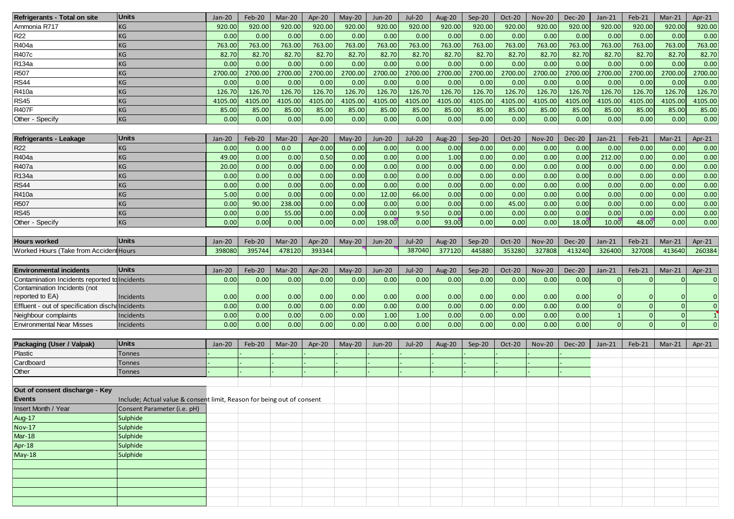| Refrigerants - Total on site                     | <b>Units</b>                                                           | Jan-20   | Feb-20        | Mar-20  | Apr-20  | May-20   | <b>Jun-20</b> | <b>Jul-20</b> | Aug-20  | Sep-20   | Oct-20  | <b>Nov-20</b> | <b>Dec-20</b> | $Jan-21$     | Feb-21         | $Mar-21$     | Apr- $21$ |
|--------------------------------------------------|------------------------------------------------------------------------|----------|---------------|---------|---------|----------|---------------|---------------|---------|----------|---------|---------------|---------------|--------------|----------------|--------------|-----------|
| Ammonia R717                                     | ΚG                                                                     | 920.00   | 920.00        | 920.00  | 920.00  | 920.00   | 920.00        | 920.00        | 920.00  | 920.00   | 920.00  | 920.00        | 920.00        | 920.00       | 920.00         | 920.00       | 920.00    |
| <b>R22</b>                                       | KG                                                                     | 0.00     | 0.00          | 0.00    | 0.00    | 0.00     | 0.00          | 0.00          | 0.00    | 0.00     | 0.00    | 0.00          | 0.00          | 0.00         | 0.00           | 0.00         | 0.00      |
| R404a                                            | KG                                                                     | 763.00   | 763.00        | 763.00  | 763.00  | 763.00   | 763.00        | 763.00        | 763.00  | 763.00   | 763.00  | 763.00        | 763.00        | 763.00       | 763.00         | 763.00       | 763.00    |
| R407c                                            | KG                                                                     | 82.70    | 82.70         | 82.70   | 82.70   | 82.70    | 82.70         | 82.70         | 82.70   | 82.70    | 82.70   | 82.70         | 82.70         | 82.70        | 82.70          | 82.70        | 82.70     |
| R134a                                            | KG                                                                     | 0.00     | 0.00          | 0.00    | 0.00    | 0.00     | 0.00          | 0.00          | 0.00    | 0.00     | 0.00    | 0.00          | 0.00          | 0.00         | 0.00           | 0.00         | 0.00      |
|                                                  |                                                                        |          |               |         |         |          |               |               |         |          |         |               |               |              |                |              |           |
| R507                                             | ΚG                                                                     | 2700.00  | 2700.00       | 2700.00 | 2700.00 | 2700.00  | 2700.00       | 2700.00       | 2700.00 | 2700.00  | 2700.00 | 2700.00       | 2700.00       | 2700.00      | 2700.00        | 2700.00      | 2700.00   |
| <b>RS44</b>                                      | KG                                                                     | 0.00     | 0.00          | 0.00    | 0.00    | 0.00     | 0.00          | 0.00          | 0.00    | 0.00     | 0.00    | 0.00          | 0.00          | 0.00         | 0.00           | 0.00         | 0.00      |
| R410a                                            | ΚG                                                                     | 126.70   | 126.70        | 126.70  | 126.70  | 126.70   | 126.70        | 126.70        | 126.70  | 126.70   | 126.70  | 126.70        | 126.70        | 126.70       | 126.70         | 126.70       | 126.70    |
| <b>RS45</b>                                      | KG                                                                     | 4105.00  | 4105.00       | 4105.00 | 4105.00 | 4105.00  | 4105.00       | 4105.00       | 4105.00 | 4105.00  | 4105.00 | 4105.00       | 4105.00       | 4105.00      | 4105.00        | 4105.00      | 4105.00   |
| <b>R407F</b>                                     | KG                                                                     | 85.00    | 85.00         | 85.00   | 85.00   | 85.00    | 85.00         | 85.00         | 85.00   | 85.00    | 85.00   | 85.00         | 85.00         | 85.00        | 85.00          | 85.00        | 85.00     |
| Other - Specify                                  | KG                                                                     | 0.00     | 0.00          | 0.00    | 0.00    | 0.00     | 0.00          | 0.00          | 0.00    | 0.00     | 0.00    | 0.00          | 0.00          | 0.00         | 0.00           | 0.00         | 0.00      |
|                                                  |                                                                        |          |               |         |         |          |               |               |         |          |         |               |               |              |                |              |           |
| Refrigerants - Leakage                           | <b>Units</b>                                                           | Jan-20   | Feb-20        | Mar-20  | Apr-20  | $May-20$ | <b>Jun-20</b> | <b>Jul-20</b> | Aug-20  | Sep-20   | Oct-20  | <b>Nov-20</b> | <b>Dec-20</b> | $Jan-21$     | Feb-21         | Mar-21       | Apr-21    |
| <b>R22</b>                                       | KG                                                                     | 0.00     | 0.00          | 0.0     | 0.00    | 0.00     | 0.00          | 0.00          | 0.00    | 0.00     | 0.00    | 0.00          | 0.00          | 0.00         | 0.00           | 0.00         | 0.00      |
| R404a                                            | KG                                                                     | 49.00    | 0.00          | 0.00    | 0.50    | 0.00     | 0.00          | 0.00          | 1.00    | 0.00     | 0.00    | 0.00          | 0.00          | 212.00       | 0.00           | 0.00         | 0.00      |
| R407a                                            | KG                                                                     | 20.00    | 0.00          | 0.00    | 0.00    | 0.00     | 0.00          | 0.00          | 0.00    | 0.00     | 0.00    | 0.00          | 0.00          | 0.00         | 0.00           | 0.00         | 0.00      |
| R134a                                            | KG                                                                     | 0.00     | 0.00          | 0.00    | 0.00    | 0.00     | 0.00          | 0.00          | 0.00    | 0.00     | 0.00    | 0.00          | 0.00          | 0.00         | 0.00           | 0.00         | 0.00      |
| <b>RS44</b>                                      | KG                                                                     | 0.00     | 0.00          | 0.00    | 0.00    | 0.00     | 0.00          | 0.00          | 0.00    | 0.00     | 0.00    | 0.00          | 0.00          | 0.00         | 0.00           | 0.00         | 0.00      |
| R410a                                            | KG                                                                     | 5.00     | 0.00          | 0.00    | 0.00    | 0.00     | 12.00         | 66.00         | 0.00    | 0.00     | 0.00    | 0.00          | 0.00          | 0.00         | 0.00           | 0.00         | 0.00      |
| R507                                             | ΚG                                                                     | 0.00     | 90.00         | 238.00  | 0.00    | 0.00     | 0.00          | 0.00          | 0.00    | 0.00     | 45.00   | 0.00          | 0.00          | 0.00         | 0.00           | 0.00         | 0.00      |
| <b>RS45</b>                                      | KG                                                                     | 0.00     | 0.00          | 55.00   | 0.00    | 0.00     | 0.00          | 9.50          | 0.00    | 0.00     | 0.00    | 0.00          | 0.00          | 0.00         | 0.00           | 0.00         | 0.00      |
| Other - Specify                                  | KG                                                                     | 0.00     | 0.00          | 0.00    | 0.00    | 0.00     | 198.00        | 0.00          | 93.00   | 0.00     | 0.00    | 0.00          | 18.00         | 10.00        | 48.00          | 0.00         | 0.00      |
|                                                  |                                                                        |          |               |         |         |          |               |               |         |          |         |               |               |              |                |              |           |
|                                                  | <b>Units</b>                                                           |          |               |         |         |          |               |               |         |          |         |               |               |              |                |              |           |
| <b>Hours worked</b>                              |                                                                        | $Jan-20$ | <b>Feb-20</b> | Mar-20  | Apr-20  | $May-20$ | <b>Jun-20</b> | <b>Jul-20</b> | Aug-20  | $Sep-20$ | Oct-20  | <b>Nov-20</b> | <b>Dec-20</b> | $Jan-21$     | Feb-21         | $Mar-21$     | Apr- $21$ |
| Worked Hours (Take from Accident Hours           |                                                                        | 398080   | 395744        | 478120  | 393344  |          |               | 387040        | 377120  | 445880   | 353280  | 327808        | 413240        | 326400       | 327008         | 413640       | 260384    |
|                                                  |                                                                        |          |               |         |         |          |               |               |         |          |         |               |               |              |                |              |           |
|                                                  |                                                                        |          |               |         |         |          |               |               |         |          |         |               |               |              |                |              |           |
| <b>Environmental incidents</b>                   | <b>Units</b>                                                           | Jan-20   | Feb-20        | Mar-20  | Apr-20  | $May-20$ | <b>Jun-20</b> | <b>Jul-20</b> | Aug-20  | Sep-20   | Oct-20  | <b>Nov-20</b> | <b>Dec-20</b> | $Jan-21$     | Feb-21         | $Mar-21$     | Apr-21    |
| Contamination Incidents reported to Incidents    |                                                                        | 0.00     | 0.00          | 0.00    | 0.00    | 0.00     | 0.00          | 0.00          | 0.00    | 0.00     | 0.00    | 0.00          | 0.00          | $\Omega$     | $\Omega$       | $\Omega$     | $\Omega$  |
| Contamination Incidents (not                     |                                                                        |          |               |         |         |          |               |               |         |          |         |               |               |              |                |              |           |
| reported to EA)                                  | Incidents                                                              | 0.00     | 0.00          | 0.00    | 0.00    | 0.00     | 0.00          | 0.00          | 0.00    | 0.00     | 0.00    | 0.00          | 0.00          | $\mathbf 0$  |                | <sup>n</sup> |           |
| Effluent - out of specification discha Incidents |                                                                        | 0.00     | 0.00          | 0.00    | 0.00    | 0.00     | 0.00          | 0.00          | 0.00    | 0.00     | 0.00    | 0.00          | 0.00          | $\mathbf 0$  | $\Omega$       | $\Omega$     |           |
| Neighbour complaints                             | Incidents                                                              | 0.00     | 0.00          | 0.00    | 0.00    | 0.00     | 1.00          | 1.00          | 0.00    | 0.00     | 0.00    | 0.00          | 0.00          | $\mathbf{1}$ | $\overline{0}$ | $\Omega$     |           |
| <b>Environmental Near Misses</b>                 | Incidents                                                              | 0.00     | 0.00          | 0.00    | 0.00    | 0.00     | 0.00          | 0.00          | 0.00    | 0.00     | 0.00    | 0.00          | 0.00          | $\mathbf{0}$ | $\Omega$       | $\Omega$     |           |
|                                                  |                                                                        |          |               |         |         |          |               |               |         |          |         |               |               |              |                |              |           |
| <b>Packaging (User / Valpak)</b>                 | <b>Units</b>                                                           | $Jan-20$ | Feb-20        | Mar-20  | Apr-20  | $May-20$ | <b>Jun-20</b> | <b>Jul-20</b> | Aug-20  | Sep-20   | Oct-20  | <b>Nov-20</b> | <b>Dec-20</b> | $Jan-21$     | Feb-21         | Mar-21       | Apr-21    |
| Plastic                                          | Tonnes                                                                 |          |               |         |         |          |               |               |         |          |         |               |               |              |                |              |           |
| Cardboard                                        | Tonnes                                                                 |          |               |         |         |          |               |               |         |          |         |               |               |              |                |              |           |
| Other                                            | <b>Tonnes</b>                                                          |          |               |         |         |          |               |               |         |          |         |               |               |              |                |              |           |
|                                                  |                                                                        |          |               |         |         |          |               |               |         |          |         |               |               |              |                |              |           |
| Out of consent discharge - Key                   |                                                                        |          |               |         |         |          |               |               |         |          |         |               |               |              |                |              |           |
| <b>Events</b>                                    | Include; Actual value & consent limit, Reason for being out of consent |          |               |         |         |          |               |               |         |          |         |               |               |              |                |              |           |
|                                                  |                                                                        |          |               |         |         |          |               |               |         |          |         |               |               |              |                |              |           |
| Insert Month / Year                              | Consent Parameter (i.e. pH)                                            |          |               |         |         |          |               |               |         |          |         |               |               |              |                |              |           |
| <b>Aug-17</b>                                    | Sulphide                                                               |          |               |         |         |          |               |               |         |          |         |               |               |              |                |              |           |
| <b>Nov-17</b>                                    | Sulphide                                                               |          |               |         |         |          |               |               |         |          |         |               |               |              |                |              |           |
| <b>Mar-18</b>                                    | Sulphide                                                               |          |               |         |         |          |               |               |         |          |         |               |               |              |                |              |           |
| Apr-18                                           | Sulphide                                                               |          |               |         |         |          |               |               |         |          |         |               |               |              |                |              |           |
| <b>May-18</b>                                    | Sulphide                                                               |          |               |         |         |          |               |               |         |          |         |               |               |              |                |              |           |
|                                                  |                                                                        |          |               |         |         |          |               |               |         |          |         |               |               |              |                |              |           |
|                                                  |                                                                        |          |               |         |         |          |               |               |         |          |         |               |               |              |                |              |           |
|                                                  |                                                                        |          |               |         |         |          |               |               |         |          |         |               |               |              |                |              |           |
|                                                  |                                                                        |          |               |         |         |          |               |               |         |          |         |               |               |              |                |              |           |